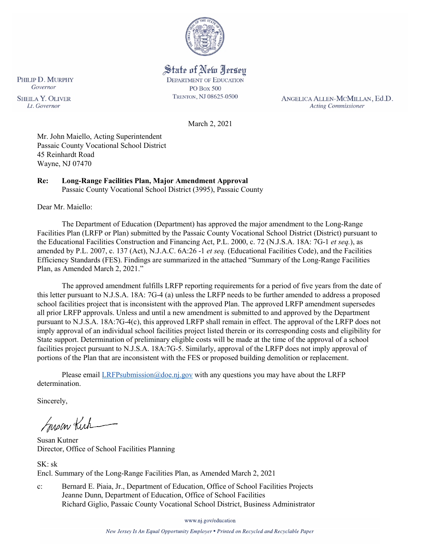

State of New Jersey **DEPARTMENT OF EDUCATION PO Box 500** TRENTON, NJ 08625-0500

ANGELICA ALLEN-MCMILLAN, Ed.D. **Acting Commissioner** 

March 2, 2021

Mr. John Maiello, Acting Superintendent Passaic County Vocational School District 45 Reinhardt Road Wayne, NJ 07470

# **Re: Long-Range Facilities Plan, Major Amendment Approval**

Passaic County Vocational School District (3995), Passaic County

Dear Mr. Maiello:

The Department of Education (Department) has approved the major amendment to the Long-Range Facilities Plan (LRFP or Plan) submitted by the Passaic County Vocational School District (District) pursuant to the Educational Facilities Construction and Financing Act, P.L. 2000, c. 72 (N.J.S.A. 18A: 7G-1 *et seq.*), as amended by P.L. 2007, c. 137 (Act), N.J.A.C. 6A:26 -1 *et seq.* (Educational Facilities Code), and the Facilities Efficiency Standards (FES). Findings are summarized in the attached "Summary of the Long-Range Facilities Plan, as Amended March 2, 2021."

The approved amendment fulfills LRFP reporting requirements for a period of five years from the date of this letter pursuant to N.J.S.A. 18A: 7G-4 (a) unless the LRFP needs to be further amended to address a proposed school facilities project that is inconsistent with the approved Plan. The approved LRFP amendment supersedes all prior LRFP approvals. Unless and until a new amendment is submitted to and approved by the Department pursuant to N.J.S.A. 18A:7G-4(c), this approved LRFP shall remain in effect. The approval of the LRFP does not imply approval of an individual school facilities project listed therein or its corresponding costs and eligibility for State support. Determination of preliminary eligible costs will be made at the time of the approval of a school facilities project pursuant to N.J.S.A. 18A:7G-5. Similarly, approval of the LRFP does not imply approval of portions of the Plan that are inconsistent with the FES or proposed building demolition or replacement.

Please email  $LRFP submission@doe.nj.gov$  with any questions you may have about the LRFP determination.

Sincerely,

Susan Kich

Susan Kutner Director, Office of School Facilities Planning

SK: sk Encl. Summary of the Long-Range Facilities Plan, as Amended March 2, 2021

c: Bernard E. Piaia, Jr., Department of Education, Office of School Facilities Projects Jeanne Dunn, Department of Education, Office of School Facilities Richard Giglio, Passaic County Vocational School District, Business Administrator

www.nj.gov/education

New Jersey Is An Equal Opportunity Employer . Printed on Recycled and Recyclable Paper

PHILIP D. MURPHY Governor **SHEILA Y. OLIVER** Lt. Governor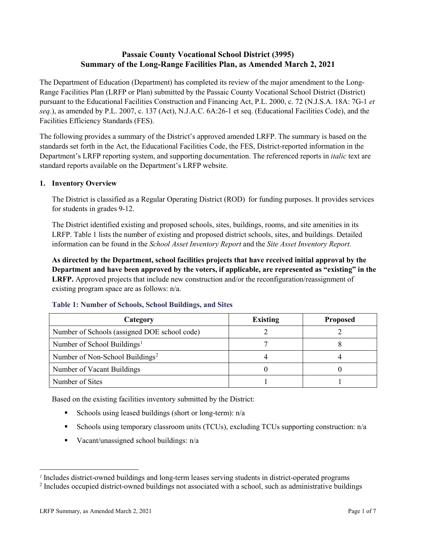## **Passaic County Vocational School District (3995) Summary of the Long-Range Facilities Plan, as Amended March 2, 2021**

The Department of Education (Department) has completed its review of the major amendment to the Long-Range Facilities Plan (LRFP or Plan) submitted by the Passaic County Vocational School District (District) pursuant to the Educational Facilities Construction and Financing Act, P.L. 2000, c. 72 (N.J.S.A. 18A: 7G-1 *et seq.*), as amended by P.L. 2007, c. 137 (Act), N.J.A.C. 6A:26-1 et seq. (Educational Facilities Code), and the Facilities Efficiency Standards (FES).

The following provides a summary of the District's approved amended LRFP. The summary is based on the standards set forth in the Act, the Educational Facilities Code, the FES, District-reported information in the Department's LRFP reporting system, and supporting documentation. The referenced reports in *italic* text are standard reports available on the Department's LRFP website.

#### **1. Inventory Overview**

The District is classified as a Regular Operating District (ROD) for funding purposes. It provides services for students in grades 9-12.

The District identified existing and proposed schools, sites, buildings, rooms, and site amenities in its LRFP. Table 1 lists the number of existing and proposed district schools, sites, and buildings. Detailed information can be found in the *School Asset Inventory Report* and the *Site Asset Inventory Report.*

**As directed by the Department, school facilities projects that have received initial approval by the Department and have been approved by the voters, if applicable, are represented as "existing" in the LRFP.** Approved projects that include new construction and/or the reconfiguration/reassignment of existing program space are as follows: n/a.

| Category                                     | <b>Existing</b> | <b>Proposed</b> |
|----------------------------------------------|-----------------|-----------------|
| Number of Schools (assigned DOE school code) |                 |                 |
| Number of School Buildings <sup>1</sup>      |                 |                 |
| Number of Non-School Buildings <sup>2</sup>  |                 |                 |
| Number of Vacant Buildings                   |                 |                 |
| Number of Sites                              |                 |                 |

#### **Table 1: Number of Schools, School Buildings, and Sites**

Based on the existing facilities inventory submitted by the District:

- Schools using leased buildings (short or long-term):  $n/a$
- Schools using temporary classroom units (TCUs), excluding TCUs supporting construction: n/a
- Vacant/unassigned school buildings:  $n/a$

 $\overline{a}$ 

<span id="page-1-1"></span><span id="page-1-0"></span>*<sup>1</sup>* Includes district-owned buildings and long-term leases serving students in district-operated programs

<sup>&</sup>lt;sup>2</sup> Includes occupied district-owned buildings not associated with a school, such as administrative buildings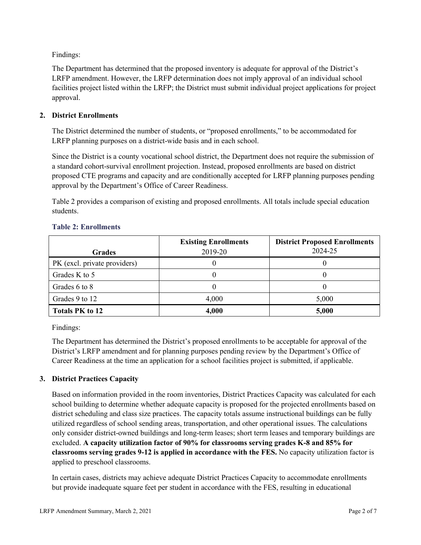Findings:

The Department has determined that the proposed inventory is adequate for approval of the District's LRFP amendment. However, the LRFP determination does not imply approval of an individual school facilities project listed within the LRFP; the District must submit individual project applications for project approval.

### **2. District Enrollments**

The District determined the number of students, or "proposed enrollments," to be accommodated for LRFP planning purposes on a district-wide basis and in each school.

Since the District is a county vocational school district, the Department does not require the submission of a standard cohort-survival enrollment projection. Instead, proposed enrollments are based on district proposed CTE programs and capacity and are conditionally accepted for LRFP planning purposes pending approval by the Department's Office of Career Readiness.

Table 2 provides a comparison of existing and proposed enrollments. All totals include special education students.

| <b>Grades</b>                | <b>Existing Enrollments</b><br>2019-20 | <b>District Proposed Enrollments</b><br>2024-25 |
|------------------------------|----------------------------------------|-------------------------------------------------|
|                              |                                        |                                                 |
| PK (excl. private providers) |                                        |                                                 |
| Grades K to 5                |                                        |                                                 |
| Grades 6 to 8                |                                        |                                                 |
| Grades 9 to 12               | 4,000                                  | 5,000                                           |
| <b>Totals PK to 12</b>       | 4,000                                  | 5,000                                           |

#### **Table 2: Enrollments**

Findings:

The Department has determined the District's proposed enrollments to be acceptable for approval of the District's LRFP amendment and for planning purposes pending review by the Department's Office of Career Readiness at the time an application for a school facilities project is submitted, if applicable.

### **3. District Practices Capacity**

Based on information provided in the room inventories, District Practices Capacity was calculated for each school building to determine whether adequate capacity is proposed for the projected enrollments based on district scheduling and class size practices. The capacity totals assume instructional buildings can be fully utilized regardless of school sending areas, transportation, and other operational issues. The calculations only consider district-owned buildings and long-term leases; short term leases and temporary buildings are excluded. **A capacity utilization factor of 90% for classrooms serving grades K-8 and 85% for classrooms serving grades 9-12 is applied in accordance with the FES.** No capacity utilization factor is applied to preschool classrooms.

In certain cases, districts may achieve adequate District Practices Capacity to accommodate enrollments but provide inadequate square feet per student in accordance with the FES, resulting in educational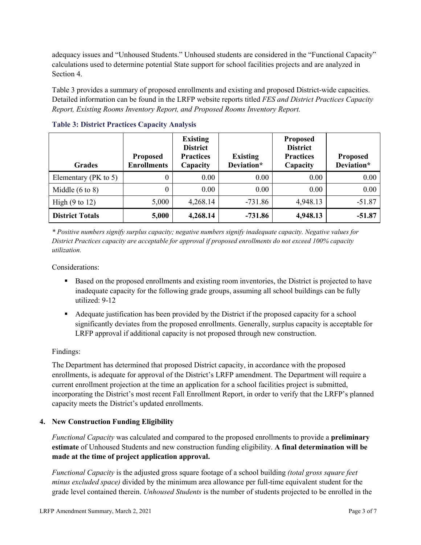adequacy issues and "Unhoused Students." Unhoused students are considered in the "Functional Capacity" calculations used to determine potential State support for school facilities projects and are analyzed in Section 4.

Table 3 provides a summary of proposed enrollments and existing and proposed District-wide capacities. Detailed information can be found in the LRFP website reports titled *FES and District Practices Capacity Report, Existing Rooms Inventory Report, and Proposed Rooms Inventory Report.*

| <b>Grades</b>              | <b>Proposed</b><br><b>Enrollments</b> | <b>Existing</b><br><b>District</b><br><b>Practices</b><br>Capacity | <b>Existing</b><br>Deviation* | <b>Proposed</b><br><b>District</b><br><b>Practices</b><br>Capacity | <b>Proposed</b><br>Deviation* |
|----------------------------|---------------------------------------|--------------------------------------------------------------------|-------------------------------|--------------------------------------------------------------------|-------------------------------|
| Elementary ( $PK$ to 5)    | 0                                     | 0.00                                                               | 0.00                          | 0.00                                                               | 0.00                          |
| Middle $(6 \text{ to } 8)$ | 0                                     | 0.00                                                               | 0.00                          | 0.00                                                               | 0.00                          |
| High $(9 \text{ to } 12)$  | 5,000                                 | 4,268.14                                                           | $-731.86$                     | 4,948.13                                                           | $-51.87$                      |
| <b>District Totals</b>     | 5,000                                 | 4,268.14                                                           | $-731.86$                     | 4,948.13                                                           | $-51.87$                      |

**Table 3: District Practices Capacity Analysis**

*\* Positive numbers signify surplus capacity; negative numbers signify inadequate capacity. Negative values for District Practices capacity are acceptable for approval if proposed enrollments do not exceed 100% capacity utilization.*

Considerations:

- Based on the proposed enrollments and existing room inventories, the District is projected to have inadequate capacity for the following grade groups, assuming all school buildings can be fully utilized: 9-12
- Adequate justification has been provided by the District if the proposed capacity for a school significantly deviates from the proposed enrollments. Generally, surplus capacity is acceptable for LRFP approval if additional capacity is not proposed through new construction.

### Findings:

The Department has determined that proposed District capacity, in accordance with the proposed enrollments, is adequate for approval of the District's LRFP amendment. The Department will require a current enrollment projection at the time an application for a school facilities project is submitted, incorporating the District's most recent Fall Enrollment Report, in order to verify that the LRFP's planned capacity meets the District's updated enrollments.

#### **4. New Construction Funding Eligibility**

*Functional Capacity* was calculated and compared to the proposed enrollments to provide a **preliminary estimate** of Unhoused Students and new construction funding eligibility. **A final determination will be made at the time of project application approval.**

*Functional Capacity* is the adjusted gross square footage of a school building *(total gross square feet minus excluded space)* divided by the minimum area allowance per full-time equivalent student for the grade level contained therein. *Unhoused Students* is the number of students projected to be enrolled in the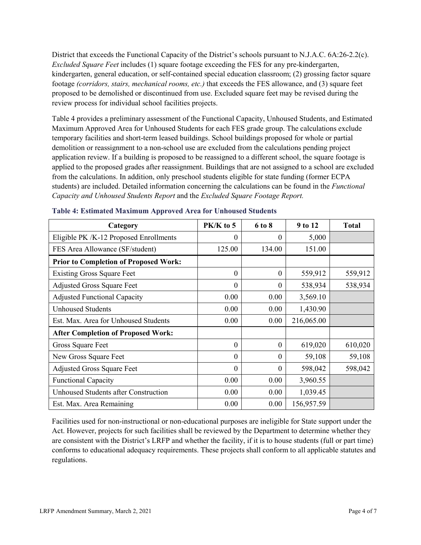District that exceeds the Functional Capacity of the District's schools pursuant to N.J.A.C. 6A:26-2.2(c). *Excluded Square Feet* includes (1) square footage exceeding the FES for any pre-kindergarten, kindergarten, general education, or self-contained special education classroom; (2) grossing factor square footage *(corridors, stairs, mechanical rooms, etc.)* that exceeds the FES allowance, and (3) square feet proposed to be demolished or discontinued from use. Excluded square feet may be revised during the review process for individual school facilities projects.

Table 4 provides a preliminary assessment of the Functional Capacity, Unhoused Students, and Estimated Maximum Approved Area for Unhoused Students for each FES grade group. The calculations exclude temporary facilities and short-term leased buildings. School buildings proposed for whole or partial demolition or reassignment to a non-school use are excluded from the calculations pending project application review. If a building is proposed to be reassigned to a different school, the square footage is applied to the proposed grades after reassignment. Buildings that are not assigned to a school are excluded from the calculations. In addition, only preschool students eligible for state funding (former ECPA students) are included. Detailed information concerning the calculations can be found in the *Functional Capacity and Unhoused Students Report* and the *Excluded Square Footage Report.*

| Category                                     | PK/K to 5 | 6 to 8   | 9 to 12    | <b>Total</b> |
|----------------------------------------------|-----------|----------|------------|--------------|
| Eligible PK /K-12 Proposed Enrollments       | 0         | $\theta$ | 5,000      |              |
| FES Area Allowance (SF/student)              | 125.00    | 134.00   | 151.00     |              |
| <b>Prior to Completion of Proposed Work:</b> |           |          |            |              |
| <b>Existing Gross Square Feet</b>            | $\theta$  | $\theta$ | 559,912    | 559,912      |
| <b>Adjusted Gross Square Feet</b>            | $\theta$  | 0        | 538,934    | 538,934      |
| <b>Adjusted Functional Capacity</b>          | 0.00      | 0.00     | 3,569.10   |              |
| <b>Unhoused Students</b>                     | 0.00      | 0.00     | 1,430.90   |              |
| Est. Max. Area for Unhoused Students         | 0.00      | 0.00     | 216,065.00 |              |
| <b>After Completion of Proposed Work:</b>    |           |          |            |              |
| Gross Square Feet                            | $\theta$  | $\theta$ | 619,020    | 610,020      |
| New Gross Square Feet                        | $\theta$  | $\theta$ | 59,108     | 59,108       |
| <b>Adjusted Gross Square Feet</b>            | $\theta$  | $\theta$ | 598,042    | 598,042      |
| <b>Functional Capacity</b>                   | 0.00      | 0.00     | 3,960.55   |              |
| <b>Unhoused Students after Construction</b>  | 0.00      | 0.00     | 1,039.45   |              |
| Est. Max. Area Remaining                     | 0.00      | 0.00     | 156,957.59 |              |

#### **Table 4: Estimated Maximum Approved Area for Unhoused Students**

Facilities used for non-instructional or non-educational purposes are ineligible for State support under the Act. However, projects for such facilities shall be reviewed by the Department to determine whether they are consistent with the District's LRFP and whether the facility, if it is to house students (full or part time) conforms to educational adequacy requirements. These projects shall conform to all applicable statutes and regulations.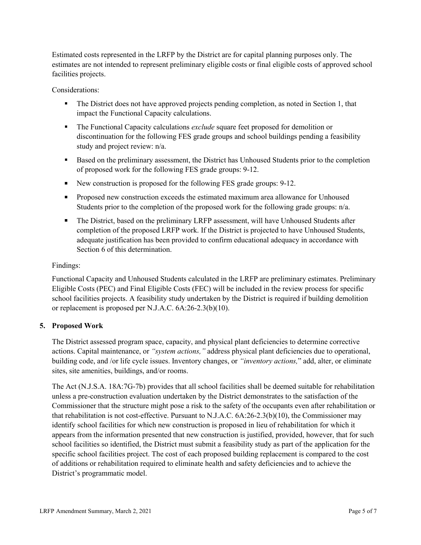Estimated costs represented in the LRFP by the District are for capital planning purposes only. The estimates are not intended to represent preliminary eligible costs or final eligible costs of approved school facilities projects.

Considerations:

- The District does not have approved projects pending completion, as noted in Section 1, that impact the Functional Capacity calculations.
- The Functional Capacity calculations *exclude* square feet proposed for demolition or discontinuation for the following FES grade groups and school buildings pending a feasibility study and project review: n/a.
- Based on the preliminary assessment, the District has Unhoused Students prior to the completion of proposed work for the following FES grade groups: 9-12.
- New construction is proposed for the following FES grade groups: 9-12.
- **Proposed new construction exceeds the estimated maximum area allowance for Unhoused** Students prior to the completion of the proposed work for the following grade groups: n/a.
- The District, based on the preliminary LRFP assessment, will have Unhoused Students after completion of the proposed LRFP work. If the District is projected to have Unhoused Students, adequate justification has been provided to confirm educational adequacy in accordance with Section 6 of this determination.

### Findings:

Functional Capacity and Unhoused Students calculated in the LRFP are preliminary estimates. Preliminary Eligible Costs (PEC) and Final Eligible Costs (FEC) will be included in the review process for specific school facilities projects. A feasibility study undertaken by the District is required if building demolition or replacement is proposed per N.J.A.C. 6A:26-2.3(b)(10).

### **5. Proposed Work**

The District assessed program space, capacity, and physical plant deficiencies to determine corrective actions. Capital maintenance, or *"system actions,"* address physical plant deficiencies due to operational, building code, and /or life cycle issues. Inventory changes, or *"inventory actions,*" add, alter, or eliminate sites, site amenities, buildings, and/or rooms.

The Act (N.J.S.A. 18A:7G-7b) provides that all school facilities shall be deemed suitable for rehabilitation unless a pre-construction evaluation undertaken by the District demonstrates to the satisfaction of the Commissioner that the structure might pose a risk to the safety of the occupants even after rehabilitation or that rehabilitation is not cost-effective. Pursuant to N.J.A.C. 6A:26-2.3(b)(10), the Commissioner may identify school facilities for which new construction is proposed in lieu of rehabilitation for which it appears from the information presented that new construction is justified, provided, however, that for such school facilities so identified, the District must submit a feasibility study as part of the application for the specific school facilities project. The cost of each proposed building replacement is compared to the cost of additions or rehabilitation required to eliminate health and safety deficiencies and to achieve the District's programmatic model.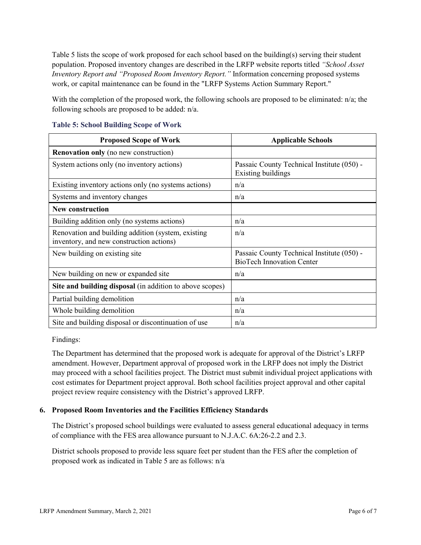Table 5 lists the scope of work proposed for each school based on the building(s) serving their student population. Proposed inventory changes are described in the LRFP website reports titled *"School Asset Inventory Report and "Proposed Room Inventory Report."* Information concerning proposed systems work, or capital maintenance can be found in the "LRFP Systems Action Summary Report."

With the completion of the proposed work, the following schools are proposed to be eliminated: n/a; the following schools are proposed to be added: n/a.

| <b>Proposed Scope of Work</b>                                                                  | <b>Applicable Schools</b>                                                      |
|------------------------------------------------------------------------------------------------|--------------------------------------------------------------------------------|
| <b>Renovation only</b> (no new construction)                                                   |                                                                                |
| System actions only (no inventory actions)                                                     | Passaic County Technical Institute (050) -<br>Existing buildings               |
| Existing inventory actions only (no systems actions)                                           | n/a                                                                            |
| Systems and inventory changes                                                                  | n/a                                                                            |
| <b>New construction</b>                                                                        |                                                                                |
| Building addition only (no systems actions)                                                    | n/a                                                                            |
| Renovation and building addition (system, existing<br>inventory, and new construction actions) | n/a                                                                            |
| New building on existing site                                                                  | Passaic County Technical Institute (050) -<br><b>BioTech Innovation Center</b> |
| New building on new or expanded site                                                           | n/a                                                                            |
| Site and building disposal (in addition to above scopes)                                       |                                                                                |
| Partial building demolition                                                                    | n/a                                                                            |
| Whole building demolition                                                                      | n/a                                                                            |
| Site and building disposal or discontinuation of use                                           | n/a                                                                            |

#### **Table 5: School Building Scope of Work**

Findings:

The Department has determined that the proposed work is adequate for approval of the District's LRFP amendment. However, Department approval of proposed work in the LRFP does not imply the District may proceed with a school facilities project. The District must submit individual project applications with cost estimates for Department project approval. Both school facilities project approval and other capital project review require consistency with the District's approved LRFP.

### **6. Proposed Room Inventories and the Facilities Efficiency Standards**

The District's proposed school buildings were evaluated to assess general educational adequacy in terms of compliance with the FES area allowance pursuant to N.J.A.C. 6A:26-2.2 and 2.3.

District schools proposed to provide less square feet per student than the FES after the completion of proposed work as indicated in Table 5 are as follows: n/a